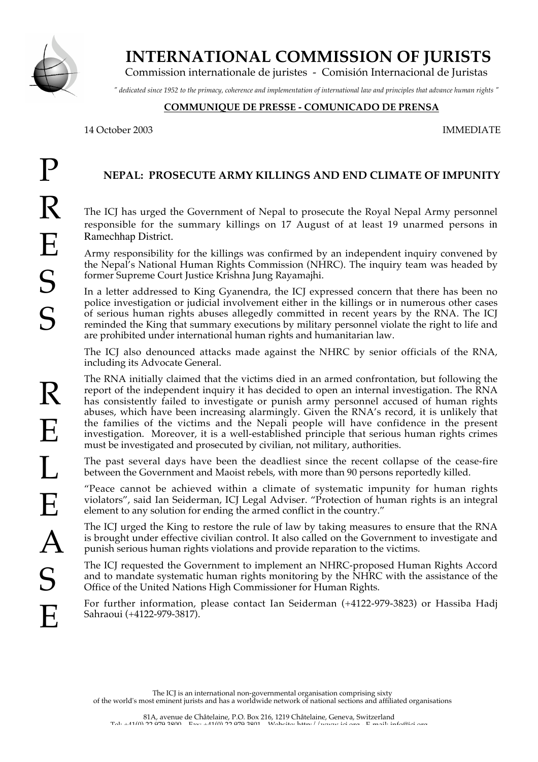

 **INTERNATIONAL COMMISSION OF JURISTS**

Commission internationale de juristes - Comisión Internacional de Juristas

*" dedicated since 1952 to the primacy, coherence and implementation of international law and principles that advance human rights "*

## **COMMUNIQUE DE PRESSE - COMUNICADO DE PRENSA**

14 October 2003 IMMEDIATE

## **NEPAL: PROSECUTE ARMY KILLINGS AND END CLIMATE OF IMPUNITY**

The ICJ has urged the Government of Nepal to prosecute the Royal Nepal Army personnel responsible for the summary killings on 17 August of at least 19 unarmed persons in Ramechhap District.

Army responsibility for the killings was confirmed by an independent inquiry convened by the Nepal's National Human Rights Commission (NHRC). The inquiry team was headed by former Supreme Court Justice Krishna Jung Rayamajhi.

In a letter addressed to King Gyanendra, the ICJ expressed concern that there has been no police investigation or judicial involvement either in the killings or in numerous other cases of serious human rights abuses allegedly committed in recent years by the RNA. The ICJ reminded the King that summary executions by military personnel violate the right to life and are prohibited under international human rights and humanitarian law.

The ICJ also denounced attacks made against the NHRC by senior officials of the RNA, including its Advocate General.

The RNA initially claimed that the victims died in an armed confrontation, but following the report of the independent inquiry it has decided to open an internal investigation. The RNA has consistently failed to investigate or punish army personnel accused of human rights abuses, which have been increasing alarmingly. Given the RNA's record, it is unlikely that the families of the victims and the Nepali people will have confidence in the present investigation. Moreover, it is a well-established principle that serious human rights crimes must be investigated and prosecuted by civilian, not military, authorities.

The past several days have been the deadliest since the recent collapse of the cease-fire between the Government and Maoist rebels, with more than 90 persons reportedly killed.

"Peace cannot be achieved within a climate of systematic impunity for human rights violators", said Ian Seiderman, ICJ Legal Adviser. "Protection of human rights is an integral element to any solution for ending the armed conflict in the country."

The ICJ urged the King to restore the rule of law by taking measures to ensure that the RNA is brought under effective civilian control. It also called on the Government to investigate and punish serious human rights violations and provide reparation to the victims.

The ICJ requested the Government to implement an NHRC-proposed Human Rights Accord and to mandate systematic human rights monitoring by the NHRC with the assistance of the Office of the United Nations High Commissioner for Human Rights.

For further information, please contact Ian Seiderman (+4122-979-3823) or Hassiba Hadj Sahraoui (+4122-979-3817).

The ICJ is an international non-governmental organisation comprising sixty of the world's most eminent jurists and has a worldwide network of national sections and affiliated organisations